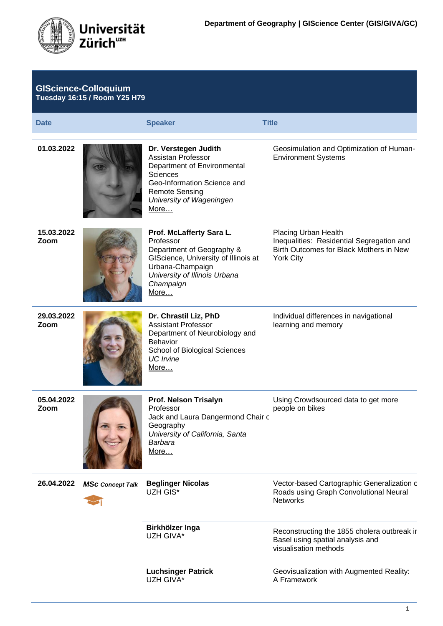

| <b>GIScience-Colloquium</b><br><b>Tuesday 16:15 / Room Y25 H79</b> |                         |                                                                                                                                                                                          |                                                                                                                                  |
|--------------------------------------------------------------------|-------------------------|------------------------------------------------------------------------------------------------------------------------------------------------------------------------------------------|----------------------------------------------------------------------------------------------------------------------------------|
| <b>Date</b>                                                        |                         | <b>Speaker</b>                                                                                                                                                                           | <b>Title</b>                                                                                                                     |
| 01.03.2022                                                         |                         | Dr. Verstegen Judith<br>Assistan Professor<br>Department of Environmental<br><b>Sciences</b><br>Geo-Information Science and<br><b>Remote Sensing</b><br>University of Wageningen<br>More | Geosimulation and Optimization of Human-<br><b>Environment Systems</b>                                                           |
| 15.03.2022<br>Zoom                                                 |                         | Prof. McLafferty Sara L.<br>Professor<br>Department of Geography &<br>GIScience, University of Illinois at<br>Urbana-Champaign<br>University of Illinois Urbana<br>Champaign<br>More     | Placing Urban Health<br>Inequalities: Residential Segregation and<br>Birth Outcomes for Black Mothers in New<br><b>York City</b> |
| 29.03.2022<br>Zoom                                                 |                         | Dr. Chrastil Liz, PhD<br><b>Assistant Professor</b><br>Department of Neurobiology and<br><b>Behavior</b><br>School of Biological Sciences<br><b>UC</b> Irvine<br>More                    | Individual differences in navigational<br>learning and memory                                                                    |
| 05.04.2022<br>Zoom                                                 |                         | Prof. Nelson Trisalyn<br>Professor<br>Jack and Laura Dangermond Chair c<br>Geography<br>University of California, Santa<br>Barbara<br>More                                               | Using Crowdsourced data to get more<br>people on bikes                                                                           |
| 26.04.2022                                                         | <b>MSc Concept Talk</b> | <b>Beglinger Nicolas</b><br>UZH GIS*                                                                                                                                                     | Vector-based Cartographic Generalization c<br>Roads using Graph Convolutional Neural<br><b>Networks</b>                          |
|                                                                    |                         | Birkhölzer Inga<br>UZH GIVA*                                                                                                                                                             | Reconstructing the 1855 cholera outbreak ir<br>Basel using spatial analysis and<br>visualisation methods                         |
|                                                                    |                         | <b>Luchsinger Patrick</b><br>UZH GIVA*                                                                                                                                                   | Geovisualization with Augmented Reality:<br>A Framework                                                                          |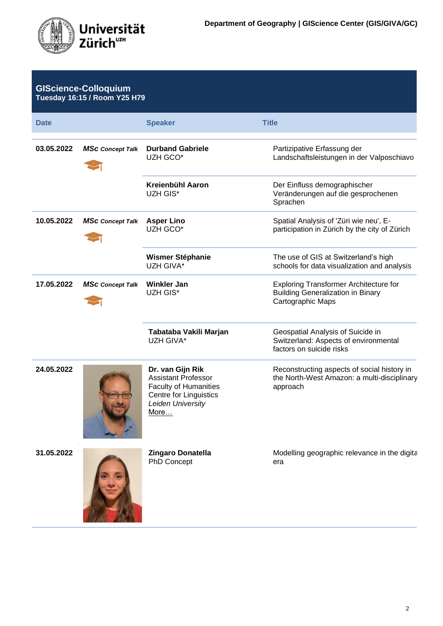

| <b>GIScience-Colloquium</b><br><b>Tuesday 16:15 / Room Y25 H79</b> |                         |                                                                                                                                       |                                                                                                                |
|--------------------------------------------------------------------|-------------------------|---------------------------------------------------------------------------------------------------------------------------------------|----------------------------------------------------------------------------------------------------------------|
| <b>Date</b>                                                        |                         | <b>Speaker</b>                                                                                                                        | <b>Title</b>                                                                                                   |
| 03.05.2022                                                         | <b>MSc Concept Talk</b> | <b>Durband Gabriele</b><br>UZH GCO*                                                                                                   | Partizipative Erfassung der<br>Landschaftsleistungen in der Valposchiavo                                       |
|                                                                    |                         | Kreienbühl Aaron<br>UZH GIS*                                                                                                          | Der Einfluss demographischer<br>Veränderungen auf die gesprochenen<br>Sprachen                                 |
| 10.05.2022                                                         | <b>MSc Concept Talk</b> | <b>Asper Lino</b><br>UZH GCO*                                                                                                         | Spatial Analysis of 'Züri wie neu', E-<br>participation in Zürich by the city of Zürich                        |
|                                                                    |                         | <b>Wismer Stéphanie</b><br>UZH GIVA*                                                                                                  | The use of GIS at Switzerland's high<br>schools for data visualization and analysis                            |
| 17.05.2022                                                         | <b>MSc Concept Talk</b> | <b>Winkler Jan</b><br>UZH GIS*                                                                                                        | <b>Exploring Transformer Architecture for</b><br><b>Building Generalization in Binary</b><br>Cartographic Maps |
|                                                                    |                         | Tabataba Vakili Marjan<br>UZH GIVA*                                                                                                   | Geospatial Analysis of Suicide in<br>Switzerland: Aspects of environmental<br>factors on suicide risks         |
| 24.05.2022                                                         |                         | Dr. van Gijn Rik<br><b>Assistant Professor</b><br><b>Faculty of Humanities</b><br>Centre for Linguistics<br>Leiden University<br>More | Reconstructing aspects of social history in<br>the North-West Amazon: a multi-disciplinary<br>approach         |
| 31.05.2022                                                         |                         | <b>Zingaro Donatella</b><br>PhD Concept                                                                                               | Modelling geographic relevance in the digita<br>era                                                            |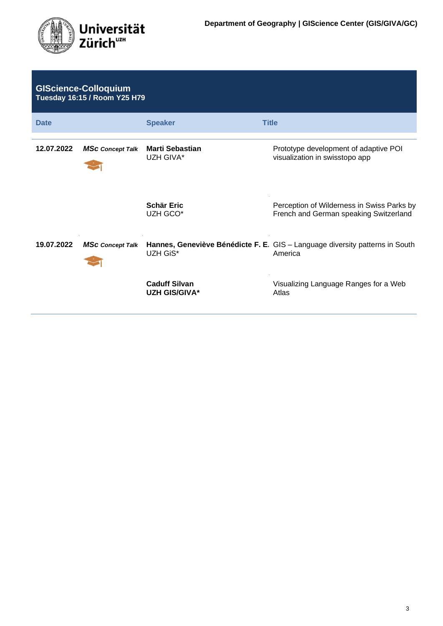

| <b>GIScience-Colloquium</b><br><b>Tuesday 16:15 / Room Y25 H79</b> |                         |                                              |                                                                                         |
|--------------------------------------------------------------------|-------------------------|----------------------------------------------|-----------------------------------------------------------------------------------------|
| <b>Date</b>                                                        |                         | <b>Speaker</b>                               | <b>Title</b>                                                                            |
| 12.07.2022                                                         | <b>MSc Concept Talk</b> | <b>Marti Sebastian</b><br>UZH GIVA*          | Prototype development of adaptive POI<br>visualization in swisstopo app                 |
|                                                                    |                         | <b>Schär Eric</b><br>UZH GCO*                | Perception of Wilderness in Swiss Parks by<br>French and German speaking Switzerland    |
| 19.07.2022                                                         | <b>MSc Concept Talk</b> | UZH GiS*                                     | Hannes, Geneviève Bénédicte F. E. GIS - Language diversity patterns in South<br>America |
|                                                                    |                         | <b>Caduff Silvan</b><br><b>UZH GIS/GIVA*</b> | Visualizing Language Ranges for a Web<br>Atlas                                          |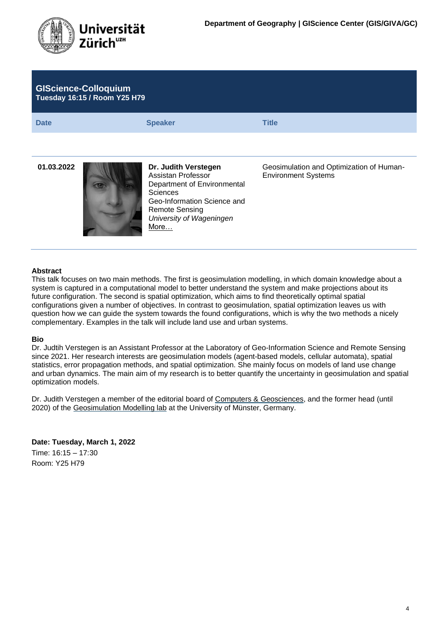

| <b>GIScience-Colloquium</b><br><b>Tuesday 16:15 / Room Y25 H79</b> |                                                                                                                                                                                          |                                                                        |  |
|--------------------------------------------------------------------|------------------------------------------------------------------------------------------------------------------------------------------------------------------------------------------|------------------------------------------------------------------------|--|
| <b>Date</b>                                                        | <b>Speaker</b>                                                                                                                                                                           | <b>Title</b>                                                           |  |
|                                                                    |                                                                                                                                                                                          |                                                                        |  |
| 01.03.2022                                                         | Dr. Judith Verstegen<br>Assistan Professor<br>Department of Environmental<br><b>Sciences</b><br>Geo-Information Science and<br><b>Remote Sensing</b><br>University of Wageningen<br>More | Geosimulation and Optimization of Human-<br><b>Environment Systems</b> |  |
| <b>Abstract</b>                                                    |                                                                                                                                                                                          |                                                                        |  |

This talk focuses on two main methods. The first is geosimulation modelling, in which domain knowledge about a system is captured in a computational model to better understand the system and make projections about its future configuration. The second is spatial optimization, which aims to find theoretically optimal spatial configurations given a number of objectives. In contrast to geosimulation, spatial optimization leaves us with question how we can guide the system towards the found configurations, which is why the two methods a nicely complementary. Examples in the talk will include land use and urban systems.

# **Bio**

Dr. Judtih Verstegen is an Assistant Professor at the Laboratory of Geo-Information Science and Remote Sensing since 2021. Her research interests are geosimulation models (agent-based models, cellular automata), spatial statistics, error propagation methods, and spatial optimization. She mainly focus on models of land use change and urban dynamics. The main aim of my research is to better quantify the uncertainty in geosimulation and spatial optimization models.

Dr. Judith Verstegen a member of the editorial board of [Computers & Geosciences,](https://www.journals.elsevier.com/computers-and-geosciences) and the former head (until 2020) of the [Geosimulation Modelling lab](https://www.uni-muenster.de/Geoinformatics/en/geosim/index.html) at the University of Münster, Germany.

**Date: Tuesday, March 1, 2022**

Time: 16:15 – 17:30 Room: Y25 H79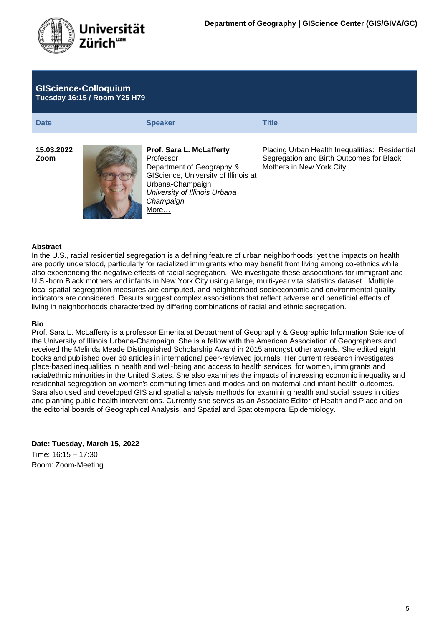

| <b>GIScience-Colloquium</b><br>Tuesday 16:15 / Room Y25 H79 |                                                                                                                                                                                             |                                                                                                                        |  |
|-------------------------------------------------------------|---------------------------------------------------------------------------------------------------------------------------------------------------------------------------------------------|------------------------------------------------------------------------------------------------------------------------|--|
| <b>Date</b>                                                 | <b>Speaker</b>                                                                                                                                                                              | <b>Title</b>                                                                                                           |  |
| 15.03.2022<br>Zoom                                          | <b>Prof. Sara L. McLafferty</b><br>Professor<br>Department of Geography &<br>GIScience, University of Illinois at<br>Urbana-Champaign<br>University of Illinois Urbana<br>Champaign<br>More | Placing Urban Health Inequalities: Residential<br>Segregation and Birth Outcomes for Black<br>Mothers in New York City |  |

In the U.S., racial residential segregation is a defining feature of urban neighborhoods; yet the impacts on health are poorly understood, particularly for racialized immigrants who may benefit from living among co-ethnics while also experiencing the negative effects of racial segregation. We investigate these associations for immigrant and U.S.-born Black mothers and infants in New York City using a large, multi-year vital statistics dataset. Multiple local spatial segregation measures are computed, and neighborhood socioeconomic and environmental quality indicators are considered. Results suggest complex associations that reflect adverse and beneficial effects of living in neighborhoods characterized by differing combinations of racial and ethnic segregation.

#### **Bio**

Prof. Sara L. McLafferty is a professor Emerita at Department of Geography & Geographic Information Science of the University of Illinois Urbana-Champaign. She is a fellow with the American Association of Geographers and received the Melinda Meade Distinguished Scholarship Award in 2015 amongst other awards. She edited eight books and published over 60 articles in international peer-reviewed journals. Her current research investigates place-based inequalities in health and well-being and access to health services for women, immigrants and racial/ethnic minorities in the United States. She also examines the impacts of increasing economic inequality and residential segregation on women's commuting times and modes and on maternal and infant health outcomes. Sara also used and developed GIS and spatial analysis methods for examining health and social issues in cities and planning public health interventions. Currently she serves as an Associate Editor of Health and Place and on the editorial boards of Geographical Analysis, and Spatial and Spatiotemporal Epidemiology.

**Date: Tuesday, March 15, 2022** Time: 16:15 – 17:30

Room: Zoom-Meeting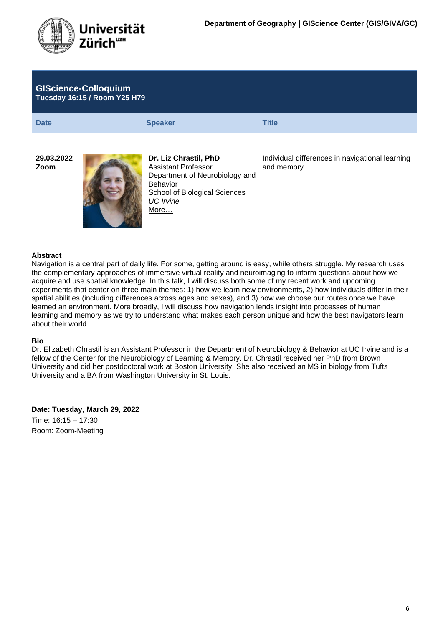

| <b>GIScience-Colloquium</b><br><b>Tuesday 16:15 / Room Y25 H79</b> |                                                                                                                                                         |                                                               |  |
|--------------------------------------------------------------------|---------------------------------------------------------------------------------------------------------------------------------------------------------|---------------------------------------------------------------|--|
| <b>Date</b>                                                        | <b>Speaker</b>                                                                                                                                          | <b>Title</b>                                                  |  |
| 29.03.2022<br>Zoom                                                 | Dr. Liz Chrastil, PhD<br>Assistant Professor<br>Department of Neurobiology and<br><b>Behavior</b><br>School of Biological Sciences<br>UC Irvine<br>More | Individual differences in navigational learning<br>and memory |  |

Navigation is a central part of daily life. For some, getting around is easy, while others struggle. My research uses the complementary approaches of immersive virtual reality and neuroimaging to inform questions about how we acquire and use spatial knowledge. In this talk, I will discuss both some of my recent work and upcoming experiments that center on three main themes: 1) how we learn new environments, 2) how individuals differ in their spatial abilities (including differences across ages and sexes), and 3) how we choose our routes once we have learned an environment. More broadly, I will discuss how navigation lends insight into processes of human learning and memory as we try to understand what makes each person unique and how the best navigators learn about their world.

#### **Bio**

Dr. Elizabeth Chrastil is an Assistant Professor in the Department of Neurobiology & Behavior at UC Irvine and is a fellow of the Center for the Neurobiology of Learning & Memory. Dr. Chrastil received her PhD from Brown University and did her postdoctoral work at Boston University. She also received an MS in biology from Tufts University and a BA from Washington University in St. Louis.

**Date: Tuesday, March 29, 2022** Time: 16:15 – 17:30 Room: Zoom-Meeting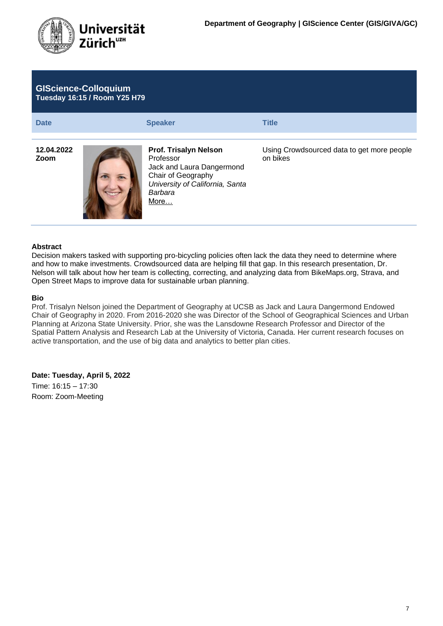

| <b>GIScience-Colloquium</b><br><b>Tuesday 16:15 / Room Y25 H79</b> |                                                                                                                                                    |                                                        |  |
|--------------------------------------------------------------------|----------------------------------------------------------------------------------------------------------------------------------------------------|--------------------------------------------------------|--|
| <b>Date</b>                                                        | <b>Speaker</b>                                                                                                                                     | <b>Title</b>                                           |  |
| 12.04.2022<br>Zoom                                                 | <b>Prof. Trisalyn Nelson</b><br>Professor<br>Jack and Laura Dangermond<br>Chair of Geography<br>University of California, Santa<br>Barbara<br>More | Using Crowdsourced data to get more people<br>on bikes |  |

Decision makers tasked with supporting pro-bicycling policies often lack the data they need to determine where and how to make investments. Crowdsourced data are helping fill that gap. In this research presentation, Dr. Nelson will talk about how her team is collecting, correcting, and analyzing data from BikeMaps.org, Strava, and Open Street Maps to improve data for sustainable urban planning.

#### **Bio**

Prof. Trisalyn Nelson joined the Department of Geography at UCSB as Jack and Laura Dangermond Endowed Chair of Geography in 2020. From 2016-2020 she was Director of the School of Geographical Sciences and Urban Planning at Arizona State University. Prior, she was the Lansdowne Research Professor and Director of the Spatial Pattern Analysis and Research Lab at the University of Victoria, Canada. Her current research focuses on active transportation, and the use of big data and analytics to better plan cities.

## **Date: Tuesday, April 5, 2022**

Time: 16:15 – 17:30 Room: Zoom-Meeting